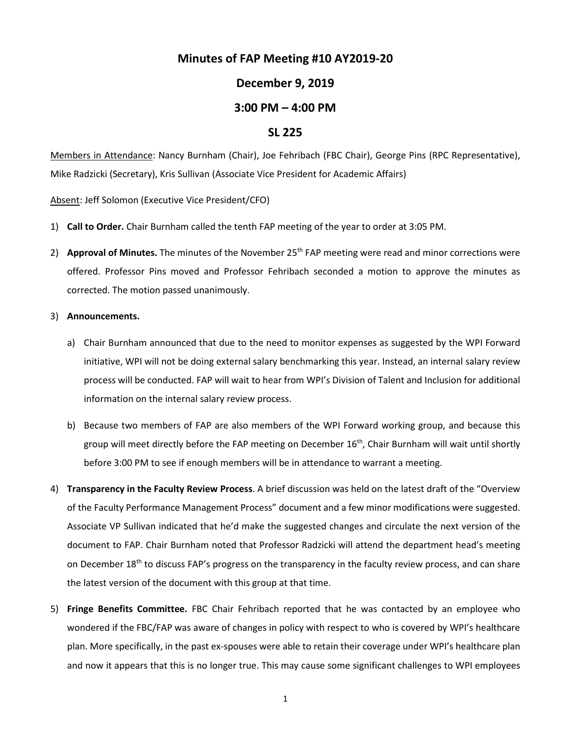# **Minutes of FAP Meeting #10 AY2019-20**

## **December 9, 2019**

### **3:00 PM – 4:00 PM**

#### **SL 225**

Members in Attendance: Nancy Burnham (Chair), Joe Fehribach (FBC Chair), George Pins (RPC Representative), Mike Radzicki (Secretary), Kris Sullivan (Associate Vice President for Academic Affairs)

Absent: Jeff Solomon (Executive Vice President/CFO)

- 1) **Call to Order.** Chair Burnham called the tenth FAP meeting of the year to order at 3:05 PM.
- 2) **Approval of Minutes.** The minutes of the November 25th FAP meeting were read and minor corrections were offered. Professor Pins moved and Professor Fehribach seconded a motion to approve the minutes as corrected. The motion passed unanimously.

#### 3) **Announcements.**

- a) Chair Burnham announced that due to the need to monitor expenses as suggested by the WPI Forward initiative, WPI will not be doing external salary benchmarking this year. Instead, an internal salary review process will be conducted. FAP will wait to hear from WPI's Division of Talent and Inclusion for additional information on the internal salary review process.
- b) Because two members of FAP are also members of the WPI Forward working group, and because this group will meet directly before the FAP meeting on December 16<sup>th</sup>, Chair Burnham will wait until shortly before 3:00 PM to see if enough members will be in attendance to warrant a meeting.
- 4) **Transparency in the Faculty Review Process**. A brief discussion was held on the latest draft of the "Overview of the Faculty Performance Management Process" document and a few minor modifications were suggested. Associate VP Sullivan indicated that he'd make the suggested changes and circulate the next version of the document to FAP. Chair Burnham noted that Professor Radzicki will attend the department head's meeting on December 18<sup>th</sup> to discuss FAP's progress on the transparency in the faculty review process, and can share the latest version of the document with this group at that time.
- 5) **Fringe Benefits Committee.** FBC Chair Fehribach reported that he was contacted by an employee who wondered if the FBC/FAP was aware of changes in policy with respect to who is covered by WPI's healthcare plan. More specifically, in the past ex-spouses were able to retain their coverage under WPI's healthcare plan and now it appears that this is no longer true. This may cause some significant challenges to WPI employees